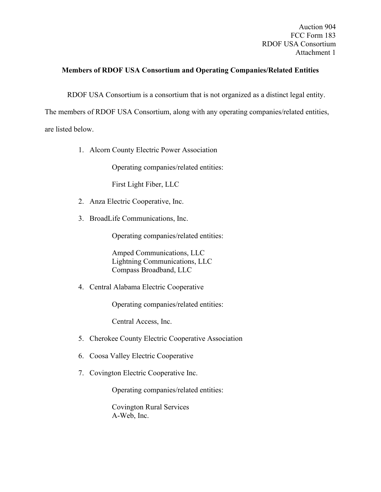Auction 904 FCC Form 183 RDOF USA Consortium Attachment 1

## **Members of RDOF USA Consortium and Operating Companies/Related Entities**

RDOF USA Consortium is a consortium that is not organized as a distinct legal entity.

The members of RDOF USA Consortium, along with any operating companies/related entities, are listed below.

1. Alcorn County Electric Power Association

Operating companies/related entities:

First Light Fiber, LLC

- 2. Anza Electric Cooperative, Inc.
- 3. BroadLife Communications, Inc.

Operating companies/related entities:

Amped Communications, LLC Lightning Communications, LLC Compass Broadband, LLC

4. Central Alabama Electric Cooperative

Operating companies/related entities:

Central Access, Inc.

- 5. Cherokee County Electric Cooperative Association
- 6. Coosa Valley Electric Cooperative
- 7. Covington Electric Cooperative Inc.

Operating companies/related entities:

Covington Rural Services A-Web, Inc.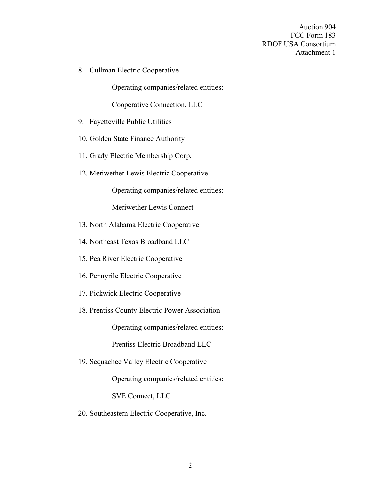Auction 904 FCC Form 183 RDOF USA Consortium Attachment 1

8. Cullman Electric Cooperative

Operating companies/related entities:

Cooperative Connection, LLC

- 9. Fayetteville Public Utilities
- 10. Golden State Finance Authority
- 11. Grady Electric Membership Corp.
- 12. Meriwether Lewis Electric Cooperative

Operating companies/related entities:

Meriwether Lewis Connect

- 13. North Alabama Electric Cooperative
- 14. Northeast Texas Broadband LLC
- 15. Pea River Electric Cooperative
- 16. Pennyrile Electric Cooperative
- 17. Pickwick Electric Cooperative
- 18. Prentiss County Electric Power Association

Operating companies/related entities:

Prentiss Electric Broadband LLC

19. Sequachee Valley Electric Cooperative

Operating companies/related entities:

SVE Connect, LLC

20. Southeastern Electric Cooperative, Inc.